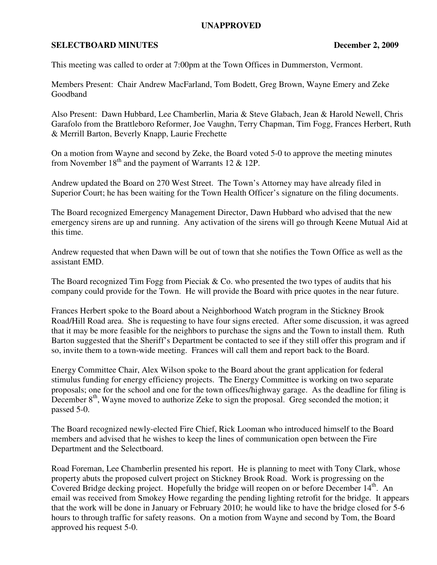## **UNAPPROVED**

## **SELECTBOARD MINUTES** December 2, 2009

This meeting was called to order at 7:00pm at the Town Offices in Dummerston, Vermont.

Members Present: Chair Andrew MacFarland, Tom Bodett, Greg Brown, Wayne Emery and Zeke Goodband

Also Present: Dawn Hubbard, Lee Chamberlin, Maria & Steve Glabach, Jean & Harold Newell, Chris Garafolo from the Brattleboro Reformer, Joe Vaughn, Terry Chapman, Tim Fogg, Frances Herbert, Ruth & Merrill Barton, Beverly Knapp, Laurie Frechette

On a motion from Wayne and second by Zeke, the Board voted 5-0 to approve the meeting minutes from November  $18<sup>th</sup>$  and the payment of Warrants 12 & 12P.

Andrew updated the Board on 270 West Street. The Town's Attorney may have already filed in Superior Court; he has been waiting for the Town Health Officer's signature on the filing documents.

The Board recognized Emergency Management Director, Dawn Hubbard who advised that the new emergency sirens are up and running. Any activation of the sirens will go through Keene Mutual Aid at this time.

Andrew requested that when Dawn will be out of town that she notifies the Town Office as well as the assistant EMD.

The Board recognized Tim Fogg from Pieciak  $&$  Co. who presented the two types of audits that his company could provide for the Town. He will provide the Board with price quotes in the near future.

Frances Herbert spoke to the Board about a Neighborhood Watch program in the Stickney Brook Road/Hill Road area. She is requesting to have four signs erected. After some discussion, it was agreed that it may be more feasible for the neighbors to purchase the signs and the Town to install them. Ruth Barton suggested that the Sheriff's Department be contacted to see if they still offer this program and if so, invite them to a town-wide meeting. Frances will call them and report back to the Board.

Energy Committee Chair, Alex Wilson spoke to the Board about the grant application for federal stimulus funding for energy efficiency projects. The Energy Committee is working on two separate proposals; one for the school and one for the town offices/highway garage. As the deadline for filing is December  $8<sup>th</sup>$ , Wayne moved to authorize Zeke to sign the proposal. Greg seconded the motion; it passed 5-0.

The Board recognized newly-elected Fire Chief, Rick Looman who introduced himself to the Board members and advised that he wishes to keep the lines of communication open between the Fire Department and the Selectboard.

Road Foreman, Lee Chamberlin presented his report. He is planning to meet with Tony Clark, whose property abuts the proposed culvert project on Stickney Brook Road. Work is progressing on the Covered Bridge decking project. Hopefully the bridge will reopen on or before December  $14<sup>th</sup>$ . An email was received from Smokey Howe regarding the pending lighting retrofit for the bridge. It appears that the work will be done in January or February 2010; he would like to have the bridge closed for 5-6 hours to through traffic for safety reasons. On a motion from Wayne and second by Tom, the Board approved his request 5-0.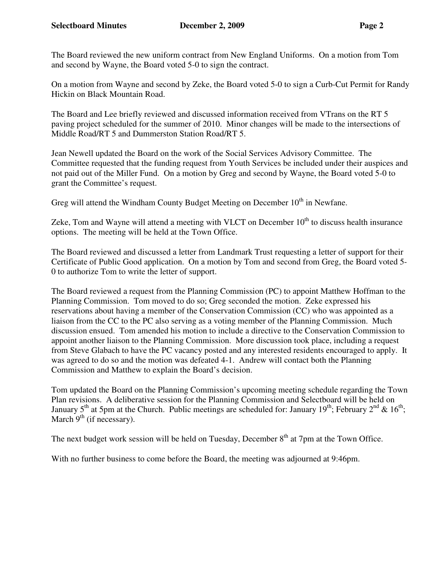The Board reviewed the new uniform contract from New England Uniforms. On a motion from Tom and second by Wayne, the Board voted 5-0 to sign the contract.

On a motion from Wayne and second by Zeke, the Board voted 5-0 to sign a Curb-Cut Permit for Randy Hickin on Black Mountain Road.

The Board and Lee briefly reviewed and discussed information received from VTrans on the RT 5 paving project scheduled for the summer of 2010. Minor changes will be made to the intersections of Middle Road/RT 5 and Dummerston Station Road/RT 5.

Jean Newell updated the Board on the work of the Social Services Advisory Committee. The Committee requested that the funding request from Youth Services be included under their auspices and not paid out of the Miller Fund. On a motion by Greg and second by Wayne, the Board voted 5-0 to grant the Committee's request.

Greg will attend the Windham County Budget Meeting on December  $10<sup>th</sup>$  in Newfane.

Zeke, Tom and Wayne will attend a meeting with VLCT on December  $10<sup>th</sup>$  to discuss health insurance options. The meeting will be held at the Town Office.

The Board reviewed and discussed a letter from Landmark Trust requesting a letter of support for their Certificate of Public Good application. On a motion by Tom and second from Greg, the Board voted 5- 0 to authorize Tom to write the letter of support.

The Board reviewed a request from the Planning Commission (PC) to appoint Matthew Hoffman to the Planning Commission. Tom moved to do so; Greg seconded the motion. Zeke expressed his reservations about having a member of the Conservation Commission (CC) who was appointed as a liaison from the CC to the PC also serving as a voting member of the Planning Commission. Much discussion ensued. Tom amended his motion to include a directive to the Conservation Commission to appoint another liaison to the Planning Commission. More discussion took place, including a request from Steve Glabach to have the PC vacancy posted and any interested residents encouraged to apply. It was agreed to do so and the motion was defeated 4-1. Andrew will contact both the Planning Commission and Matthew to explain the Board's decision.

Tom updated the Board on the Planning Commission's upcoming meeting schedule regarding the Town Plan revisions. A deliberative session for the Planning Commission and Selectboard will be held on January 5<sup>th</sup> at 5pm at the Church. Public meetings are scheduled for: January 19<sup>th</sup>; February 2<sup>nd</sup> & 16<sup>th</sup>; March  $9<sup>th</sup>$  (if necessary).

The next budget work session will be held on Tuesday, December  $8<sup>th</sup>$  at 7pm at the Town Office.

With no further business to come before the Board, the meeting was adjourned at 9:46pm.